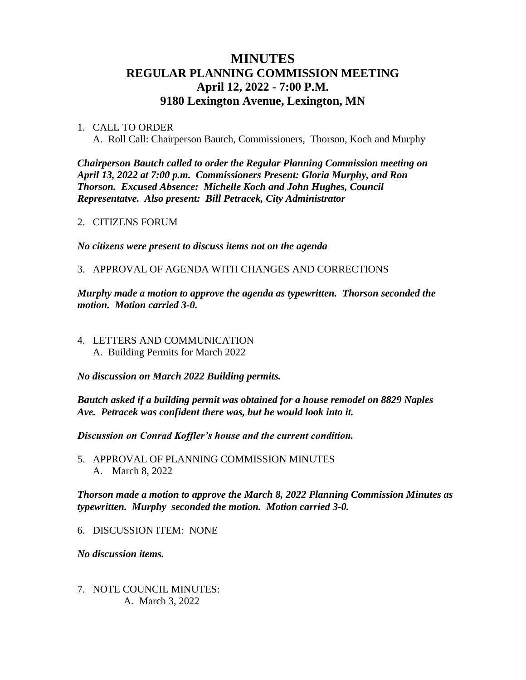## **MINUTES REGULAR PLANNING COMMISSION MEETING April 12, 2022 - 7:00 P.M. 9180 Lexington Avenue, Lexington, MN**

## 1. CALL TO ORDER

A. Roll Call: Chairperson Bautch, Commissioners, Thorson, Koch and Murphy

*Chairperson Bautch called to order the Regular Planning Commission meeting on April 13, 2022 at 7:00 p.m. Commissioners Present: Gloria Murphy, and Ron Thorson. Excused Absence: Michelle Koch and John Hughes, Council Representatve. Also present: Bill Petracek, City Administrator*

2. CITIZENS FORUM

*No citizens were present to discuss items not on the agenda*

3. APPROVAL OF AGENDA WITH CHANGES AND CORRECTIONS

*Murphy made a motion to approve the agenda as typewritten. Thorson seconded the motion. Motion carried 3-0.*

4. LETTERS AND COMMUNICATION A. Building Permits for March 2022

*No discussion on March 2022 Building permits.* 

*Bautch asked if a building permit was obtained for a house remodel on 8829 Naples Ave. Petracek was confident there was, but he would look into it.* 

*Discussion on Conrad Koffler's house and the current condition.* 

5. APPROVAL OF PLANNING COMMISSION MINUTES A. March 8, 2022

*Thorson made a motion to approve the March 8, 2022 Planning Commission Minutes as typewritten. Murphy seconded the motion. Motion carried 3-0.*

6. DISCUSSION ITEM: NONE

*No discussion items.*

7. NOTE COUNCIL MINUTES: A. March 3, 2022